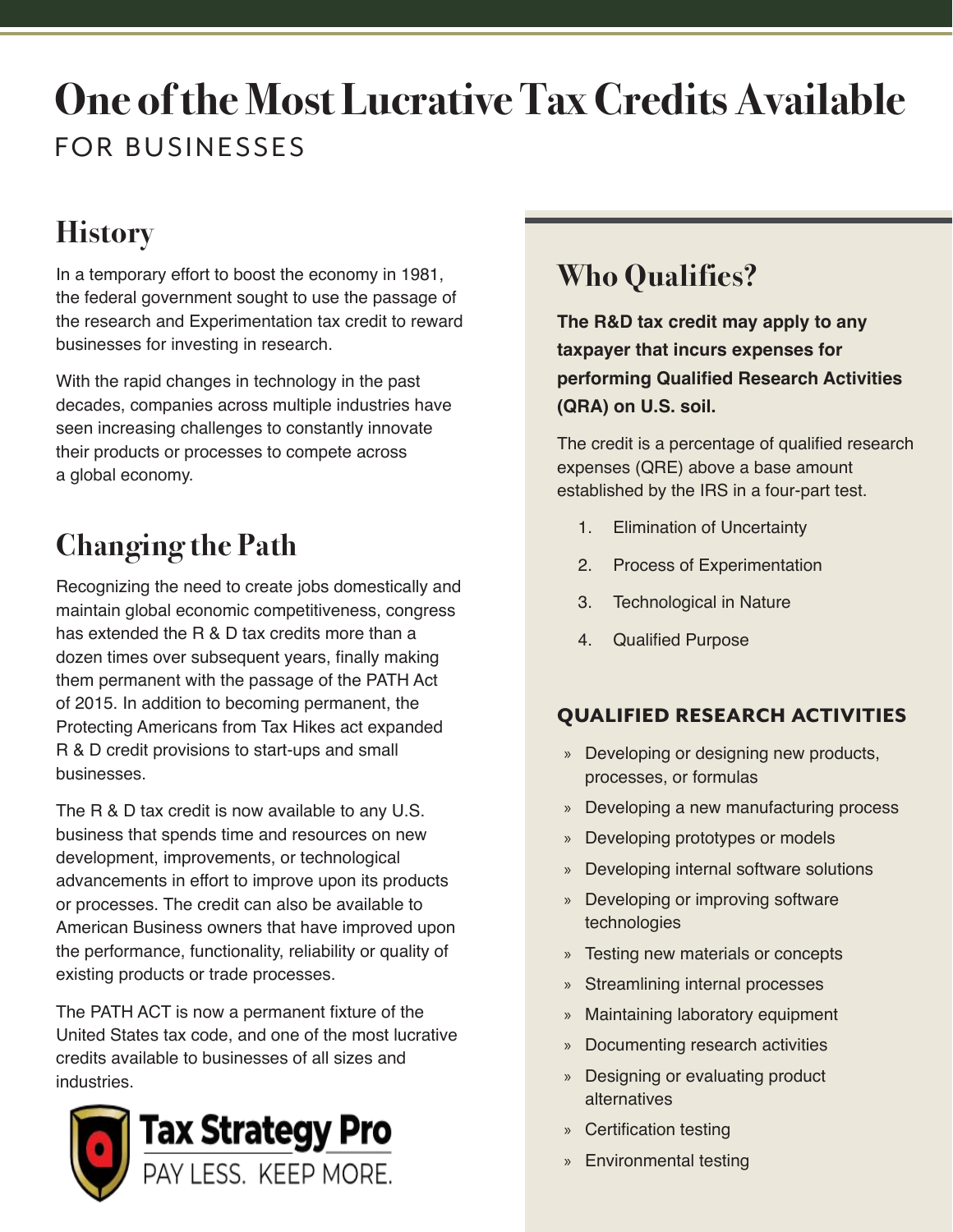# **One of the Most Lucrative Tax Credits Available**  FOR BUSINESSES

# **History**

In a temporary effort to boost the economy in 1981, the federal government sought to use the passage of the research and Experimentation tax credit to reward businesses for investing in research.

With the rapid changes in technology in the past decades, companies across multiple industries have seen increasing challenges to constantly innovate their products or processes to compete across a global economy.

# **Changing the Path**

Recognizing the need to create jobs domestically and maintain global economic competitiveness, congress has extended the R & D tax credits more than a dozen times over subsequent years, finally making them permanent with the passage of the PATH Act of 2015. In addition to becoming permanent, the Protecting Americans from Tax Hikes act expanded R & D credit provisions to start-ups and small businesses.

The R & D tax credit is now available to any U.S. business that spends time and resources on new development, improvements, or technological advancements in effort to improve upon its products or processes. The credit can also be available to American Business owners that have improved upon the performance, functionality, reliability or quality of existing products or trade processes.

The PATH ACT is now a permanent fixture of the United States tax code, and one of the most lucrative credits available to businesses of all sizes and **industries** 



# **Who Qualifies?**

**The R&D tax credit may apply to any taxpayer that incurs expenses for performing Qualified Research Activities (QRA) on U.S. soil.** 

The credit is a percentage of qualified research expenses (QRE) above a base amount established by the IRS in a four-part test.

- 1. Elimination of Uncertainty
- 2. Process of Experimentation
- 3. Technological in Nature
- 4. Qualified Purpose

# QUALIFIED RESEARCH ACTIVITIES

- » Developing or designing new products, processes, or formulas
- » Developing a new manufacturing process
- » Developing prototypes or models
- » Developing internal software solutions
- » Developing or improving software technologies
- » Testing new materials or concepts
- » Streamlining internal processes
- » Maintaining laboratory equipment
- » Documenting research activities
- » Designing or evaluating product alternatives
- » Certification testing
- » Environmental testing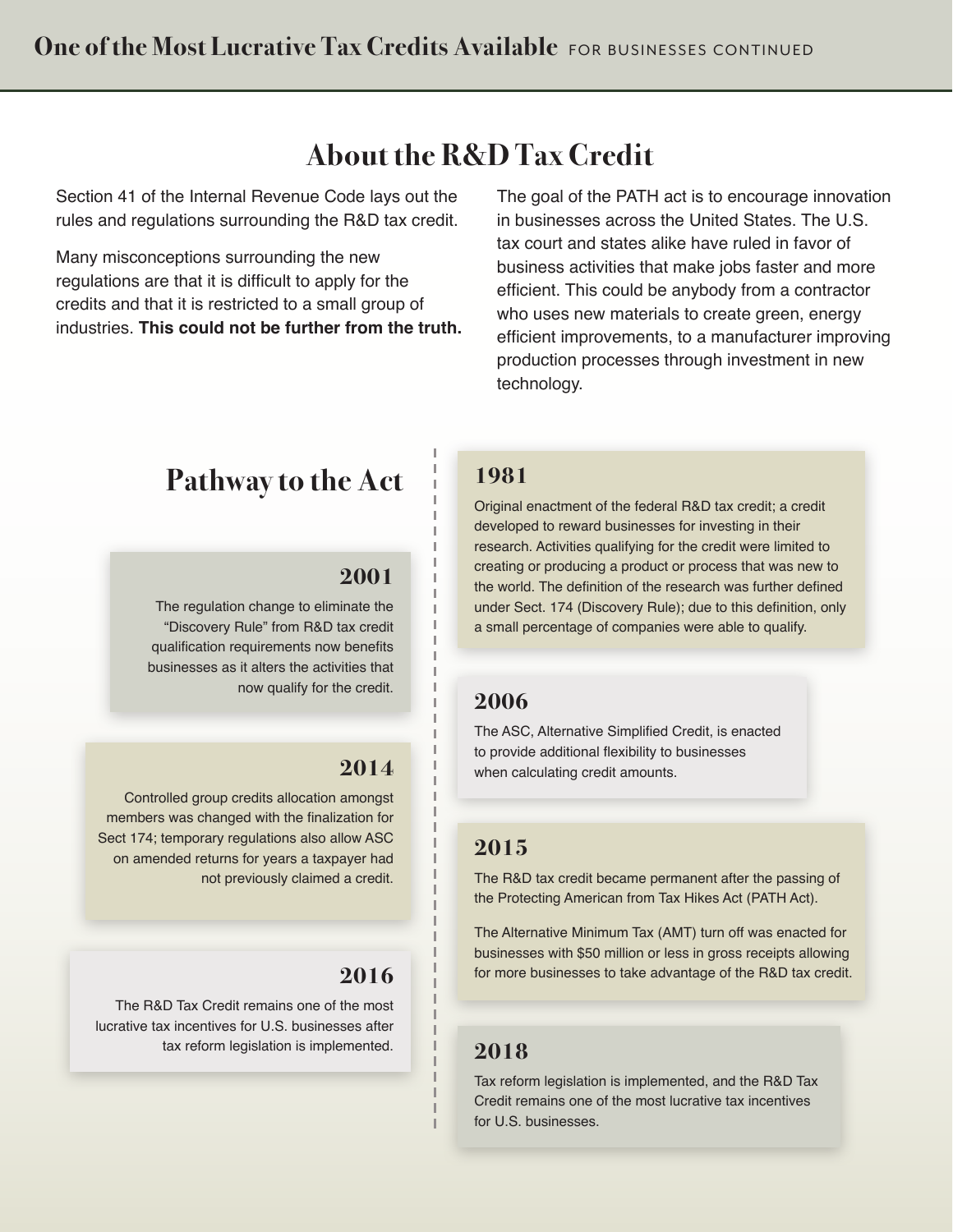# **About the R&D Tax Credit**

Section 41 of the Internal Revenue Code lays out the rules and regulations surrounding the R&D tax credit.

Many misconceptions surrounding the new regulations are that it is difficult to apply for the credits and that it is restricted to a small group of industries. **This could not be further from the truth.**  The goal of the PATH act is to encourage innovation in businesses across the United States. The U.S. tax court and states alike have ruled in favor of business activities that make jobs faster and more efficient. This could be anybody from a contractor who uses new materials to create green, energy efficient improvements, to a manufacturer improving production processes through investment in new technology.

# **Pathway to the Act**

#### **2001**

The regulation change to eliminate the "Discovery Rule" from R&D tax credit qualification requirements now benefits businesses as it alters the activities that now qualify for the credit.

#### **2014**

Controlled group credits allocation amongst members was changed with the finalization for Sect 174; temporary regulations also allow ASC on amended returns for years a taxpayer had not previously claimed a credit.

### **2016**

The R&D Tax Credit remains one of the most lucrative tax incentives for U.S. businesses after tax reform legislation is implemented.

### **1981**

Original enactment of the federal R&D tax credit; a credit developed to reward businesses for investing in their research. Activities qualifying for the credit were limited to creating or producing a product or process that was new to the world. The definition of the research was further defined under Sect. 174 (Discovery Rule); due to this definition, only a small percentage of companies were able to qualify.

## **2006**

The ASC, Alternative Simplified Credit, is enacted to provide additional flexibility to businesses when calculating credit amounts.

# **2015**

The R&D tax credit became permanent after the passing of the Protecting American from Tax Hikes Act (PATH Act).

The Alternative Minimum Tax (AMT) turn off was enacted for businesses with \$50 million or less in gross receipts allowing for more businesses to take advantage of the R&D tax credit.

# **2018**

Tax reform legislation is implemented, and the R&D Tax Credit remains one of the most lucrative tax incentives for U.S. businesses.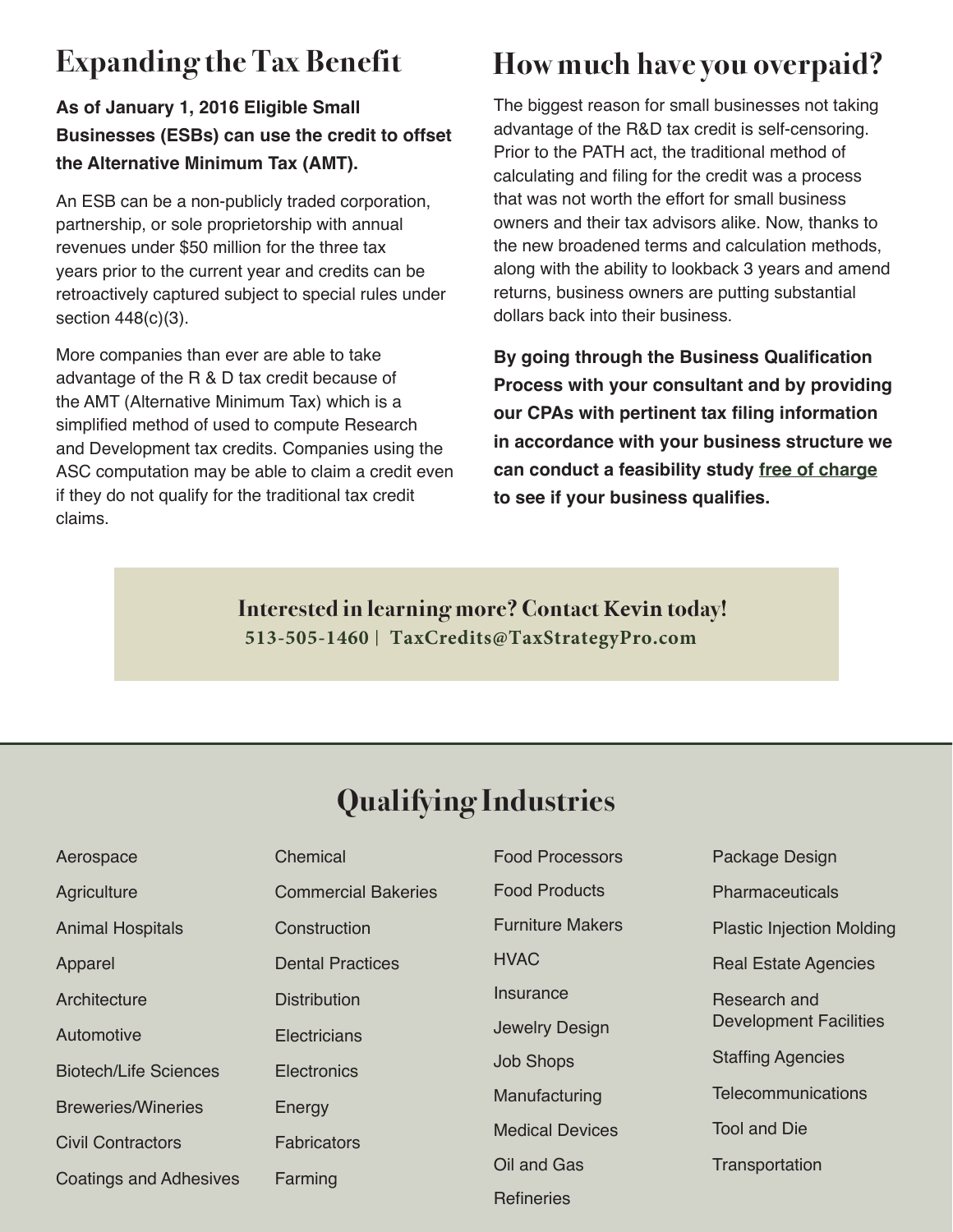# **Expanding the Tax Benefit**

# **As of January 1, 2016 Eligible Small Businesses (ESBs) can use the credit to offset the Alternative Minimum Tax (AMT).**

An ESB can be a non-publicly traded corporation, partnership, or sole proprietorship with annual revenues under \$50 million for the three tax years prior to the current year and credits can be retroactively captured subject to special rules under section 448(c)(3).

More companies than ever are able to take advantage of the R & D tax credit because of the AMT (Alternative Minimum Tax) which is a simplified method of used to compute Research and Development tax credits. Companies using the ASC computation may be able to claim a credit even if they do not qualify for the traditional tax credit claims.

# **How much have you overpaid?**

The biggest reason for small businesses not taking advantage of the R&D tax credit is self-censoring. Prior to the PATH act, the traditional method of calculating and filing for the credit was a process that was not worth the effort for small business owners and their tax advisors alike. Now, thanks to the new broadened terms and calculation methods, along with the ability to lookback 3 years and amend returns, business owners are putting substantial dollars back into their business.

**By going through the Business Qualification Process with your consultant and by providing our CPAs with pertinent tax filing information in accordance with your business structure we can conduct a feasibility study free of charge to see if your business qualifies.**

**Interested in learning more? Contact Kevin today! 513-505-1460** | **TaxCredits@TaxStrategyPro.com**

# **Qualifying Industries**

| Aerospace                     | Chemical                   | Food Processors         | Package Design                   |
|-------------------------------|----------------------------|-------------------------|----------------------------------|
| Agriculture                   | <b>Commercial Bakeries</b> | <b>Food Products</b>    | <b>Pharmaceuticals</b>           |
| <b>Animal Hospitals</b>       | Construction               | <b>Furniture Makers</b> | <b>Plastic Injection Molding</b> |
| Apparel                       | <b>Dental Practices</b>    | <b>HVAC</b>             | <b>Real Estate Agencies</b>      |
| Architecture                  | <b>Distribution</b>        | Insurance               | Research and                     |
| Automotive                    | Electricians               | Jewelry Design          | <b>Development Facilities</b>    |
| <b>Biotech/Life Sciences</b>  | <b>Electronics</b>         | <b>Job Shops</b>        | <b>Staffing Agencies</b>         |
| <b>Breweries/Wineries</b>     | Energy                     | Manufacturing           | Telecommunications               |
| <b>Civil Contractors</b>      | <b>Fabricators</b>         | <b>Medical Devices</b>  | <b>Tool and Die</b>              |
| <b>Coatings and Adhesives</b> | Farming                    | Oil and Gas             | Transportation                   |
|                               |                            | Refineries              |                                  |